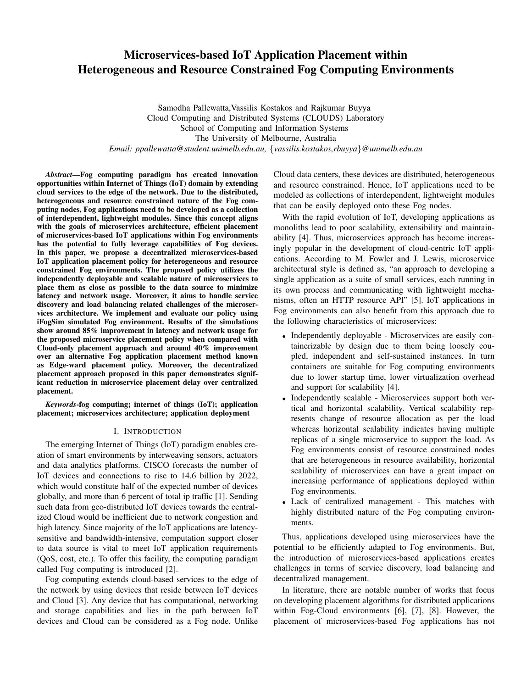# Microservices-based IoT Application Placement within Heterogeneous and Resource Constrained Fog Computing Environments

Samodha Pallewatta,Vassilis Kostakos and Rajkumar Buyya Cloud Computing and Distributed Systems (CLOUDS) Laboratory School of Computing and Information Systems The University of Melbourne, Australia *Email: ppallewatta@student.unimelb.edu.au,* {*vassilis.kostakos,rbuyya*}*@unimelb.edu.au*

*Abstract*—Fog computing paradigm has created innovation opportunities within Internet of Things (IoT) domain by extending cloud services to the edge of the network. Due to the distributed, heterogeneous and resource constrained nature of the Fog computing nodes, Fog applications need to be developed as a collection of interdependent, lightweight modules. Since this concept aligns with the goals of microservices architecture, efficient placement of microservices-based IoT applications within Fog environments has the potential to fully leverage capabilities of Fog devices. In this paper, we propose a decentralized microservices-based IoT application placement policy for heterogeneous and resource constrained Fog environments. The proposed policy utilizes the independently deployable and scalable nature of microservices to place them as close as possible to the data source to minimize latency and network usage. Moreover, it aims to handle service discovery and load balancing related challenges of the microservices architecture. We implement and evaluate our policy using iFogSim simulated Fog environment. Results of the simulations show around 85% improvement in latency and network usage for the proposed microservice placement policy when compared with Cloud-only placement approach and around 40% improvement over an alternative Fog application placement method known as Edge-ward placement policy. Moreover, the decentralized placement approach proposed in this paper demonstrates significant reduction in microservice placement delay over centralized placement.

*Keywords*-fog computing; internet of things (IoT); application placement; microservices architecture; application deployment

# I. INTRODUCTION

The emerging Internet of Things (IoT) paradigm enables creation of smart environments by interweaving sensors, actuators and data analytics platforms. CISCO forecasts the number of IoT devices and connections to rise to 14.6 billion by 2022, which would constitute half of the expected number of devices globally, and more than 6 percent of total ip traffic [1]. Sending such data from geo-distributed IoT devices towards the centralized Cloud would be inefficient due to network congestion and high latency. Since majority of the IoT applications are latencysensitive and bandwidth-intensive, computation support closer to data source is vital to meet IoT application requirements (QoS, cost, etc.). To offer this facility, the computing paradigm called Fog computing is introduced [2].

Fog computing extends cloud-based services to the edge of the network by using devices that reside between IoT devices and Cloud [3]. Any device that has computational, networking and storage capabilities and lies in the path between IoT devices and Cloud can be considered as a Fog node. Unlike Cloud data centers, these devices are distributed, heterogeneous and resource constrained. Hence, IoT applications need to be modeled as collections of interdependent, lightweight modules that can be easily deployed onto these Fog nodes.

With the rapid evolution of IoT, developing applications as monoliths lead to poor scalability, extensibility and maintainability [4]. Thus, microservices approach has become increasingly popular in the development of cloud-centric IoT applications. According to M. Fowler and J. Lewis, microservice architectural style is defined as, "an approach to developing a single application as a suite of small services, each running in its own process and communicating with lightweight mechanisms, often an HTTP resource API" [5]. IoT applications in Fog environments can also benefit from this approach due to the following characteristics of microservices:

- Independently deployable Microservices are easily containerizable by design due to them being loosely coupled, independent and self-sustained instances. In turn containers are suitable for Fog computing environments due to lower startup time, lower virtualization overhead and support for scalability [4].
- Independently scalable Microservices support both vertical and horizontal scalability. Vertical scalability represents change of resource allocation as per the load whereas horizontal scalability indicates having multiple replicas of a single microservice to support the load. As Fog environments consist of resource constrained nodes that are heterogeneous in resource availability, horizontal scalability of microservices can have a great impact on increasing performance of applications deployed within Fog environments.
- Lack of centralized management This matches with highly distributed nature of the Fog computing environments.

Thus, applications developed using microservices have the potential to be efficiently adapted to Fog environments. But, the introduction of microservices-based applications creates challenges in terms of service discovery, load balancing and decentralized management.

In literature, there are notable number of works that focus on developing placement algorithms for distributed applications within Fog-Cloud environments [6], [7], [8]. However, the placement of microservices-based Fog applications has not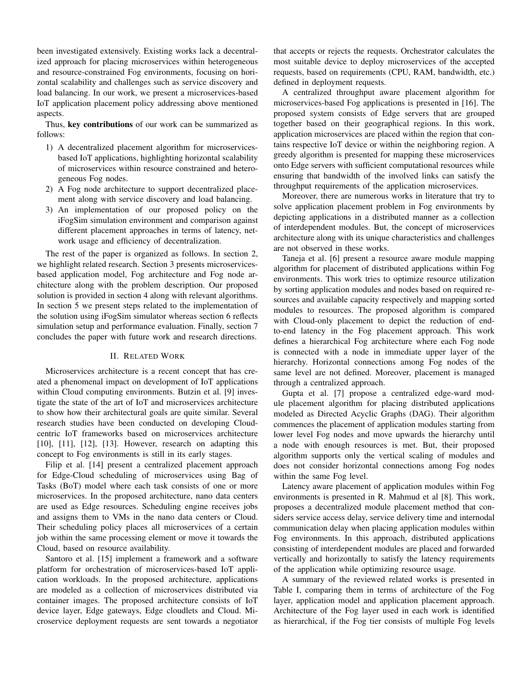been investigated extensively. Existing works lack a decentralized approach for placing microservices within heterogeneous and resource-constrained Fog environments, focusing on horizontal scalability and challenges such as service discovery and load balancing. In our work, we present a microservices-based IoT application placement policy addressing above mentioned aspects.

Thus, key contributions of our work can be summarized as follows:

- 1) A decentralized placement algorithm for microservicesbased IoT applications, highlighting horizontal scalability of microservices within resource constrained and heterogeneous Fog nodes.
- 2) A Fog node architecture to support decentralized placement along with service discovery and load balancing.
- 3) An implementation of our proposed policy on the iFogSim simulation environment and comparison against different placement approaches in terms of latency, network usage and efficiency of decentralization.

The rest of the paper is organized as follows. In section 2, we highlight related research. Section 3 presents microservicesbased application model, Fog architecture and Fog node architecture along with the problem description. Our proposed solution is provided in section 4 along with relevant algorithms. In section 5 we present steps related to the implementation of the solution using iFogSim simulator whereas section 6 reflects simulation setup and performance evaluation. Finally, section 7 concludes the paper with future work and research directions.

## II. RELATED WORK

Microservices architecture is a recent concept that has created a phenomenal impact on development of IoT applications within Cloud computing environments. Butzin et al. [9] investigate the state of the art of IoT and microservices architecture to show how their architectural goals are quite similar. Several research studies have been conducted on developing Cloudcentric IoT frameworks based on microservices architecture [10], [11], [12], [13]. However, research on adapting this concept to Fog environments is still in its early stages.

Filip et al. [14] present a centralized placement approach for Edge-Cloud scheduling of microservices using Bag of Tasks (BoT) model where each task consists of one or more microservices. In the proposed architecture, nano data centers are used as Edge resources. Scheduling engine receives jobs and assigns them to VMs in the nano data centers or Cloud. Their scheduling policy places all microservices of a certain job within the same processing element or move it towards the Cloud, based on resource availability.

Santoro et al. [15] implement a framework and a software platform for orchestration of microservices-based IoT application workloads. In the proposed architecture, applications are modeled as a collection of microservices distributed via container images. The proposed architecture consists of IoT device layer, Edge gateways, Edge cloudlets and Cloud. Microservice deployment requests are sent towards a negotiator that accepts or rejects the requests. Orchestrator calculates the most suitable device to deploy microservices of the accepted requests, based on requirements (CPU, RAM, bandwidth, etc.) defined in deployment requests.

A centralized throughput aware placement algorithm for microservices-based Fog applications is presented in [16]. The proposed system consists of Edge servers that are grouped together based on their geographical regions. In this work, application microservices are placed within the region that contains respective IoT device or within the neighboring region. A greedy algorithm is presented for mapping these microservices onto Edge servers with sufficient computational resources while ensuring that bandwidth of the involved links can satisfy the throughput requirements of the application microservices.

Moreover, there are numerous works in literature that try to solve application placement problem in Fog environments by depicting applications in a distributed manner as a collection of interdependent modules. But, the concept of microservices architecture along with its unique characteristics and challenges are not observed in these works.

Taneja et al. [6] present a resource aware module mapping algorithm for placement of distributed applications within Fog environments. This work tries to optimize resource utilization by sorting application modules and nodes based on required resources and available capacity respectively and mapping sorted modules to resources. The proposed algorithm is compared with Cloud-only placement to depict the reduction of endto-end latency in the Fog placement approach. This work defines a hierarchical Fog architecture where each Fog node is connected with a node in immediate upper layer of the hierarchy. Horizontal connections among Fog nodes of the same level are not defined. Moreover, placement is managed through a centralized approach.

Gupta et al. [7] propose a centralized edge-ward module placement algorithm for placing distributed applications modeled as Directed Acyclic Graphs (DAG). Their algorithm commences the placement of application modules starting from lower level Fog nodes and move upwards the hierarchy until a node with enough resources is met. But, their proposed algorithm supports only the vertical scaling of modules and does not consider horizontal connections among Fog nodes within the same Fog level.

Latency aware placement of application modules within Fog environments is presented in R. Mahmud et al [8]. This work, proposes a decentralized module placement method that considers service access delay, service delivery time and internodal communication delay when placing application modules within Fog environments. In this approach, distributed applications consisting of interdependent modules are placed and forwarded vertically and horizontally to satisfy the latency requirements of the application while optimizing resource usage.

A summary of the reviewed related works is presented in Table I, comparing them in terms of architecture of the Fog layer, application model and application placement approach. Architecture of the Fog layer used in each work is identified as hierarchical, if the Fog tier consists of multiple Fog levels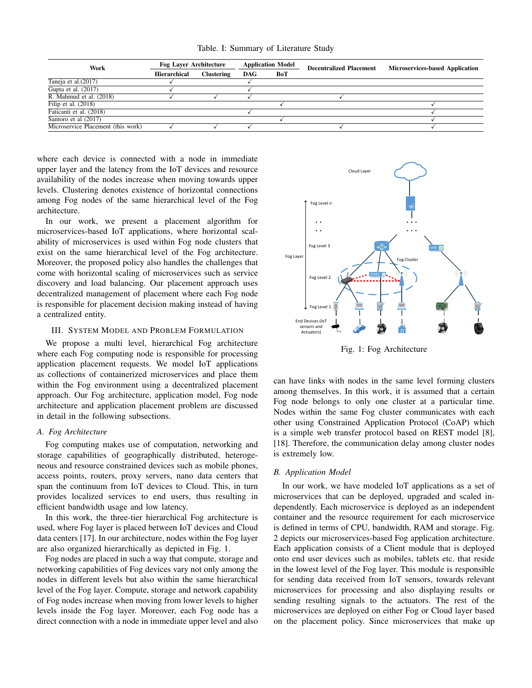|  |  | Table. I: Summary of Literature Study |  |  |  |
|--|--|---------------------------------------|--|--|--|
|--|--|---------------------------------------|--|--|--|

| Work                                  | <b>Fog Laver Architecture</b> |            | <b>Application Model</b> |     | <b>Decentralized Placement</b> | <b>Microservices-based Application</b> |  |
|---------------------------------------|-------------------------------|------------|--------------------------|-----|--------------------------------|----------------------------------------|--|
|                                       | Hierarchical                  | Clustering | <b>DAG</b>               | BoT |                                |                                        |  |
| Taneja et al. (2017)                  |                               |            |                          |     |                                |                                        |  |
| Gupta et al. $(2017)$                 |                               |            |                          |     |                                |                                        |  |
| $\overline{R}$ . Mahmud et al. (2018) |                               |            |                          |     |                                |                                        |  |
| Filip et al. $(2018)$                 |                               |            |                          |     |                                |                                        |  |
| Faticanti et al. (2018)               |                               |            |                          |     |                                |                                        |  |
| Santoro et al (2017)                  |                               |            |                          |     |                                |                                        |  |
| Microservice Placement (this work)    |                               |            |                          |     |                                |                                        |  |

where each device is connected with a node in immediate upper layer and the latency from the IoT devices and resource availability of the nodes increase when moving towards upper levels. Clustering denotes existence of horizontal connections among Fog nodes of the same hierarchical level of the Fog architecture.

In our work, we present a placement algorithm for microservices-based IoT applications, where horizontal scalability of microservices is used within Fog node clusters that exist on the same hierarchical level of the Fog architecture. Moreover, the proposed policy also handles the challenges that come with horizontal scaling of microservices such as service discovery and load balancing. Our placement approach uses decentralized management of placement where each Fog node is responsible for placement decision making instead of having a centralized entity.

## III. SYSTEM MODEL AND PROBLEM FORMULATION

We propose a multi level, hierarchical Fog architecture where each Fog computing node is responsible for processing application placement requests. We model IoT applications as collections of containerized microservices and place them within the Fog environment using a decentralized placement approach. Our Fog architecture, application model, Fog node architecture and application placement problem are discussed in detail in the following subsections.

## *A. Fog Architecture*

Fog computing makes use of computation, networking and storage capabilities of geographically distributed, heterogeneous and resource constrained devices such as mobile phones, access points, routers, proxy servers, nano data centers that span the continuum from IoT devices to Cloud. This, in turn provides localized services to end users, thus resulting in efficient bandwidth usage and low latency.

In this work, the three-tier hierarchical Fog architecture is used, where Fog layer is placed between IoT devices and Cloud data centers [17]. In our architecture, nodes within the Fog layer are also organized hierarchically as depicted in Fig. 1.

Fog nodes are placed in such a way that compute, storage and networking capabilities of Fog devices vary not only among the nodes in different levels but also within the same hierarchical level of the Fog layer. Compute, storage and network capability of Fog nodes increase when moving from lower levels to higher levels inside the Fog layer. Moreover, each Fog node has a direct connection with a node in immediate upper level and also



Fig. 1: Fog Architecture

can have links with nodes in the same level forming clusters among themselves. In this work, it is assumed that a certain Fog node belongs to only one cluster at a particular time. Nodes within the same Fog cluster communicates with each other using Constrained Application Protocol (CoAP) which is a simple web transfer protocol based on REST model [8], [18]. Therefore, the communication delay among cluster nodes is extremely low.

## *B. Application Model*

In our work, we have modeled IoT applications as a set of microservices that can be deployed, upgraded and scaled independently. Each microservice is deployed as an independent container and the resource requirement for each microservice is defined in terms of CPU, bandwidth, RAM and storage. Fig. 2 depicts our microservices-based Fog application architecture. Each application consists of a Client module that is deployed onto end user devices such as mobiles, tablets etc. that reside in the lowest level of the Fog layer. This module is responsible for sending data received from IoT sensors, towards relevant microservices for processing and also displaying results or sending resulting signals to the actuators. The rest of the microservices are deployed on either Fog or Cloud layer based on the placement policy. Since microservices that make up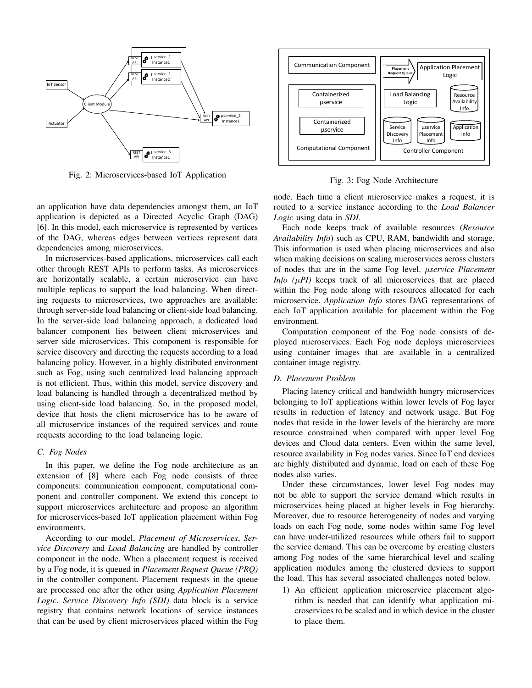

Fig. 2: Microservices-based IoT Application

an application have data dependencies amongst them, an IoT application is depicted as a Directed Acyclic Graph (DAG) [6]. In this model, each microservice is represented by vertices of the DAG, whereas edges between vertices represent data dependencies among microservices.

In microservices-based applications, microservices call each other through REST APIs to perform tasks. As microservices are horizontally scalable, a certain microservice can have multiple replicas to support the load balancing. When directing requests to microservices, two approaches are available: through server-side load balancing or client-side load balancing. In the server-side load balancing approach, a dedicated load balancer component lies between client microservices and server side microservices. This component is responsible for service discovery and directing the requests according to a load balancing policy. However, in a highly distributed environment such as Fog, using such centralized load balancing approach is not efficient. Thus, within this model, service discovery and load balancing is handled through a decentralized method by using client-side load balancing. So, in the proposed model, device that hosts the client microservice has to be aware of all microservice instances of the required services and route requests according to the load balancing logic.

## *C. Fog Nodes*

In this paper, we define the Fog node architecture as an extension of [8] where each Fog node consists of three components: communication component, computational component and controller component. We extend this concept to support microservices architecture and propose an algorithm for microservices-based IoT application placement within Fog environments.

According to our model, *Placement of Microservices*, *Service Discovery* and *Load Balancing* are handled by controller component in the node. When a placement request is received by a Fog node, it is queued in *Placement Request Queue (PRQ)* in the controller component. Placement requests in the queue are processed one after the other using *Application Placement Logic*. *Service Discovery Info (SDI)* data block is a service registry that contains network locations of service instances that can be used by client microservices placed within the Fog



Fig. 3: Fog Node Architecture

node. Each time a client microservice makes a request, it is routed to a service instance according to the *Load Balancer Logic* using data in *SDI*.

Each node keeps track of available resources (*Resource Availability Info*) such as CPU, RAM, bandwidth and storage. This information is used when placing microservices and also when making decisions on scaling microservices across clusters of nodes that are in the same Fog level. µ*service Placement Info*  $(\mu P)$  keeps track of all microservices that are placed within the Fog node along with resources allocated for each microservice. *Application Info* stores DAG representations of each IoT application available for placement within the Fog environment.

Computation component of the Fog node consists of deployed microservices. Each Fog node deploys microservices using container images that are available in a centralized container image registry.

## *D. Placement Problem*

Placing latency critical and bandwidth hungry microservices belonging to IoT applications within lower levels of Fog layer results in reduction of latency and network usage. But Fog nodes that reside in the lower levels of the hierarchy are more resource constrained when compared with upper level Fog devices and Cloud data centers. Even within the same level, resource availability in Fog nodes varies. Since IoT end devices are highly distributed and dynamic, load on each of these Fog nodes also varies.

Under these circumstances, lower level Fog nodes may not be able to support the service demand which results in microservices being placed at higher levels in Fog hierarchy. Moreover, due to resource heterogeneity of nodes and varying loads on each Fog node, some nodes within same Fog level can have under-utilized resources while others fail to support the service demand. This can be overcome by creating clusters among Fog nodes of the same hierarchical level and scaling application modules among the clustered devices to support the load. This has several associated challenges noted below.

1) An efficient application microservice placement algorithm is needed that can identify what application microservices to be scaled and in which device in the cluster to place them.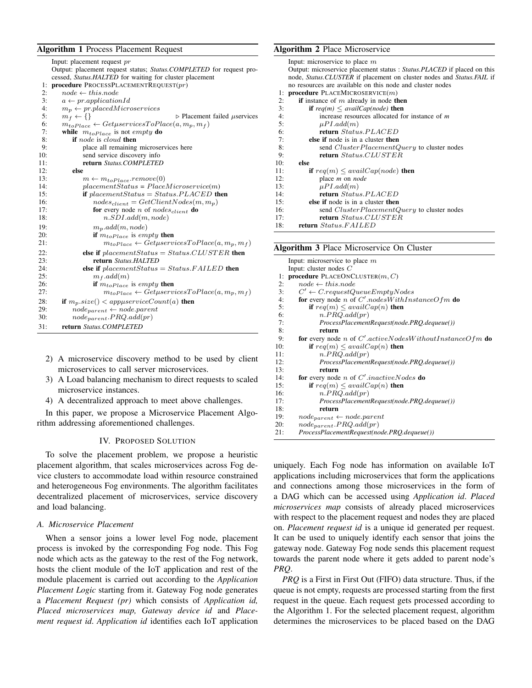## Algorithm 1 Process Placement Request

| cessed, <i>Status.HALTED</i> for waiting for cluster placement<br>procedure PROCESSPLACEMENTREQUEST $(pr)$<br>1:<br>2:<br>$node \leftarrow thisnode$<br>3:<br>$a \leftarrow pr.appendicationId$<br>4:<br>$m_p \leftarrow pr.placedMicrosoft$<br>5:<br>$m_f \leftarrow \{\}$<br>$\triangleright$ Placement failed $\mu$ services<br>6:<br>$m_{toPlace} \leftarrow Getp servicesToPlace(a, m_p, m_f)$<br>7:<br>while $m_{toPlace}$ is not empty do<br>8:<br><b>if</b> node is cloud then<br>9:<br>place all remaining microservices here<br>10:<br>send service discovery info<br>11:<br>return Status.COMPLETED<br>12:<br>else<br>13:<br>$m \leftarrow m_{toPlace}.remove(0)$<br>14:<br>$placement Status = PlaceMicroservice(m)$<br>if placement Status = Status. PLACED then<br>15:<br>16:<br>$nodes_{client} = GetClientNodes(m, m_p)$<br>17:<br><b>for</b> every node <i>n</i> of <i>nodes<sub>client</sub></i> <b>do</b><br>18:<br>n.SDI.add(m, node)<br>19:<br>$m_p.add(m, node)$<br>20:<br>if $m_{toPlace}$ is empty then<br>21:<br>$m_{toPlace} \leftarrow Getp servicesToPlace(a, m_p, m_f)$<br>22:<br>else if $placement Status = Status.CLUSTER$ then<br>23:<br>return Status.HALTED<br>24:<br>else if $placement Status = Status.FAILED$ then<br>25:<br>$m_f$ .add $(m)$<br>26:<br>if $m_{toPlace}$ is empty then<br>27:<br>$m_{toPlace} \leftarrow Getp servicesToPlace(a, m_p, m_f)$<br>28:<br>if $m_p.size() < appropriateCount(a)$ then<br>29:<br>$node_{parent} \leftarrow node.parent$<br>30:<br>$node_{parent}.PRQ.add(pr)$<br>31:<br>return Status.COMPLETED | Input: placement request pr                                          |
|---------------------------------------------------------------------------------------------------------------------------------------------------------------------------------------------------------------------------------------------------------------------------------------------------------------------------------------------------------------------------------------------------------------------------------------------------------------------------------------------------------------------------------------------------------------------------------------------------------------------------------------------------------------------------------------------------------------------------------------------------------------------------------------------------------------------------------------------------------------------------------------------------------------------------------------------------------------------------------------------------------------------------------------------------------------------------------------------------------------------------------------------------------------------------------------------------------------------------------------------------------------------------------------------------------------------------------------------------------------------------------------------------------------------------------------------------------------------------------------------------------------------------------------------------------------------------------|----------------------------------------------------------------------|
|                                                                                                                                                                                                                                                                                                                                                                                                                                                                                                                                                                                                                                                                                                                                                                                                                                                                                                                                                                                                                                                                                                                                                                                                                                                                                                                                                                                                                                                                                                                                                                                 | Output: placement request status; Status. COMPLETED for request pro- |
|                                                                                                                                                                                                                                                                                                                                                                                                                                                                                                                                                                                                                                                                                                                                                                                                                                                                                                                                                                                                                                                                                                                                                                                                                                                                                                                                                                                                                                                                                                                                                                                 |                                                                      |
|                                                                                                                                                                                                                                                                                                                                                                                                                                                                                                                                                                                                                                                                                                                                                                                                                                                                                                                                                                                                                                                                                                                                                                                                                                                                                                                                                                                                                                                                                                                                                                                 |                                                                      |
|                                                                                                                                                                                                                                                                                                                                                                                                                                                                                                                                                                                                                                                                                                                                                                                                                                                                                                                                                                                                                                                                                                                                                                                                                                                                                                                                                                                                                                                                                                                                                                                 |                                                                      |
|                                                                                                                                                                                                                                                                                                                                                                                                                                                                                                                                                                                                                                                                                                                                                                                                                                                                                                                                                                                                                                                                                                                                                                                                                                                                                                                                                                                                                                                                                                                                                                                 |                                                                      |
|                                                                                                                                                                                                                                                                                                                                                                                                                                                                                                                                                                                                                                                                                                                                                                                                                                                                                                                                                                                                                                                                                                                                                                                                                                                                                                                                                                                                                                                                                                                                                                                 |                                                                      |
|                                                                                                                                                                                                                                                                                                                                                                                                                                                                                                                                                                                                                                                                                                                                                                                                                                                                                                                                                                                                                                                                                                                                                                                                                                                                                                                                                                                                                                                                                                                                                                                 |                                                                      |
|                                                                                                                                                                                                                                                                                                                                                                                                                                                                                                                                                                                                                                                                                                                                                                                                                                                                                                                                                                                                                                                                                                                                                                                                                                                                                                                                                                                                                                                                                                                                                                                 |                                                                      |
|                                                                                                                                                                                                                                                                                                                                                                                                                                                                                                                                                                                                                                                                                                                                                                                                                                                                                                                                                                                                                                                                                                                                                                                                                                                                                                                                                                                                                                                                                                                                                                                 |                                                                      |
|                                                                                                                                                                                                                                                                                                                                                                                                                                                                                                                                                                                                                                                                                                                                                                                                                                                                                                                                                                                                                                                                                                                                                                                                                                                                                                                                                                                                                                                                                                                                                                                 |                                                                      |
|                                                                                                                                                                                                                                                                                                                                                                                                                                                                                                                                                                                                                                                                                                                                                                                                                                                                                                                                                                                                                                                                                                                                                                                                                                                                                                                                                                                                                                                                                                                                                                                 |                                                                      |
|                                                                                                                                                                                                                                                                                                                                                                                                                                                                                                                                                                                                                                                                                                                                                                                                                                                                                                                                                                                                                                                                                                                                                                                                                                                                                                                                                                                                                                                                                                                                                                                 |                                                                      |
|                                                                                                                                                                                                                                                                                                                                                                                                                                                                                                                                                                                                                                                                                                                                                                                                                                                                                                                                                                                                                                                                                                                                                                                                                                                                                                                                                                                                                                                                                                                                                                                 |                                                                      |
|                                                                                                                                                                                                                                                                                                                                                                                                                                                                                                                                                                                                                                                                                                                                                                                                                                                                                                                                                                                                                                                                                                                                                                                                                                                                                                                                                                                                                                                                                                                                                                                 |                                                                      |
|                                                                                                                                                                                                                                                                                                                                                                                                                                                                                                                                                                                                                                                                                                                                                                                                                                                                                                                                                                                                                                                                                                                                                                                                                                                                                                                                                                                                                                                                                                                                                                                 |                                                                      |
|                                                                                                                                                                                                                                                                                                                                                                                                                                                                                                                                                                                                                                                                                                                                                                                                                                                                                                                                                                                                                                                                                                                                                                                                                                                                                                                                                                                                                                                                                                                                                                                 |                                                                      |
|                                                                                                                                                                                                                                                                                                                                                                                                                                                                                                                                                                                                                                                                                                                                                                                                                                                                                                                                                                                                                                                                                                                                                                                                                                                                                                                                                                                                                                                                                                                                                                                 |                                                                      |
|                                                                                                                                                                                                                                                                                                                                                                                                                                                                                                                                                                                                                                                                                                                                                                                                                                                                                                                                                                                                                                                                                                                                                                                                                                                                                                                                                                                                                                                                                                                                                                                 |                                                                      |
|                                                                                                                                                                                                                                                                                                                                                                                                                                                                                                                                                                                                                                                                                                                                                                                                                                                                                                                                                                                                                                                                                                                                                                                                                                                                                                                                                                                                                                                                                                                                                                                 |                                                                      |
|                                                                                                                                                                                                                                                                                                                                                                                                                                                                                                                                                                                                                                                                                                                                                                                                                                                                                                                                                                                                                                                                                                                                                                                                                                                                                                                                                                                                                                                                                                                                                                                 |                                                                      |
|                                                                                                                                                                                                                                                                                                                                                                                                                                                                                                                                                                                                                                                                                                                                                                                                                                                                                                                                                                                                                                                                                                                                                                                                                                                                                                                                                                                                                                                                                                                                                                                 |                                                                      |
|                                                                                                                                                                                                                                                                                                                                                                                                                                                                                                                                                                                                                                                                                                                                                                                                                                                                                                                                                                                                                                                                                                                                                                                                                                                                                                                                                                                                                                                                                                                                                                                 |                                                                      |
|                                                                                                                                                                                                                                                                                                                                                                                                                                                                                                                                                                                                                                                                                                                                                                                                                                                                                                                                                                                                                                                                                                                                                                                                                                                                                                                                                                                                                                                                                                                                                                                 |                                                                      |
|                                                                                                                                                                                                                                                                                                                                                                                                                                                                                                                                                                                                                                                                                                                                                                                                                                                                                                                                                                                                                                                                                                                                                                                                                                                                                                                                                                                                                                                                                                                                                                                 |                                                                      |
|                                                                                                                                                                                                                                                                                                                                                                                                                                                                                                                                                                                                                                                                                                                                                                                                                                                                                                                                                                                                                                                                                                                                                                                                                                                                                                                                                                                                                                                                                                                                                                                 |                                                                      |
|                                                                                                                                                                                                                                                                                                                                                                                                                                                                                                                                                                                                                                                                                                                                                                                                                                                                                                                                                                                                                                                                                                                                                                                                                                                                                                                                                                                                                                                                                                                                                                                 |                                                                      |
|                                                                                                                                                                                                                                                                                                                                                                                                                                                                                                                                                                                                                                                                                                                                                                                                                                                                                                                                                                                                                                                                                                                                                                                                                                                                                                                                                                                                                                                                                                                                                                                 |                                                                      |
|                                                                                                                                                                                                                                                                                                                                                                                                                                                                                                                                                                                                                                                                                                                                                                                                                                                                                                                                                                                                                                                                                                                                                                                                                                                                                                                                                                                                                                                                                                                                                                                 |                                                                      |
|                                                                                                                                                                                                                                                                                                                                                                                                                                                                                                                                                                                                                                                                                                                                                                                                                                                                                                                                                                                                                                                                                                                                                                                                                                                                                                                                                                                                                                                                                                                                                                                 |                                                                      |
|                                                                                                                                                                                                                                                                                                                                                                                                                                                                                                                                                                                                                                                                                                                                                                                                                                                                                                                                                                                                                                                                                                                                                                                                                                                                                                                                                                                                                                                                                                                                                                                 |                                                                      |
|                                                                                                                                                                                                                                                                                                                                                                                                                                                                                                                                                                                                                                                                                                                                                                                                                                                                                                                                                                                                                                                                                                                                                                                                                                                                                                                                                                                                                                                                                                                                                                                 |                                                                      |
|                                                                                                                                                                                                                                                                                                                                                                                                                                                                                                                                                                                                                                                                                                                                                                                                                                                                                                                                                                                                                                                                                                                                                                                                                                                                                                                                                                                                                                                                                                                                                                                 |                                                                      |
|                                                                                                                                                                                                                                                                                                                                                                                                                                                                                                                                                                                                                                                                                                                                                                                                                                                                                                                                                                                                                                                                                                                                                                                                                                                                                                                                                                                                                                                                                                                                                                                 |                                                                      |

- 2) A microservice discovery method to be used by client microservices to call server microservices.
- 3) A Load balancing mechanism to direct requests to scaled microservice instances.
- 4) A decentralized approach to meet above challenges.

In this paper, we propose a Microservice Placement Algorithm addressing aforementioned challenges.

## IV. PROPOSED SOLUTION

To solve the placement problem, we propose a heuristic placement algorithm, that scales microservices across Fog device clusters to accommodate load within resource constrained and heterogeneous Fog environments. The algorithm facilitates decentralized placement of microservices, service discovery and load balancing.

## *A. Microservice Placement*

When a sensor joins a lower level Fog node, placement process is invoked by the corresponding Fog node. This Fog node which acts as the gateway to the rest of the Fog network, hosts the client module of the IoT application and rest of the module placement is carried out according to the *Application Placement Logic* starting from it. Gateway Fog node generates a *Placement Request (pr)* which consists of *Application id, Placed microservices map, Gateway device id* and *Placement request id*. *Application id* identifies each IoT application

# Algorithm 2 Place Microservice

|     | Input: microservice to place $m$                                                    |
|-----|-------------------------------------------------------------------------------------|
|     | Output: microservice placement status : Status. PLACED if placed on this            |
|     | node, <i>Status.CLUSTER</i> if placement on cluster nodes and <i>Status.FAIL</i> if |
|     | no resources are available on this node and cluster nodes                           |
| ŀ.  | <b>procedure</b> PLACEMICROSERVICE $(m)$                                            |
| 2:  | <b>if</b> instance of $m$ already in node <b>then</b>                               |
| 3:  | <b>if</b> $req(m) \leq \alpha \text{value}(\text{node})$ then                       |
| 4:  | increase resources allocated for instance of $m$                                    |
| 5:  | $\mu P I.add(m)$                                                                    |
| 6:  | return Status.PLACED                                                                |
| 7:  | else if node is in a cluster then                                                   |
| 8:  | send <i>Cluster PlacementQuery</i> to cluster nodes                                 |
| 9:  | return Status.CLUSTER                                                               |
| 10: | else                                                                                |
| 11: | <b>if</b> $req(m) \leq availCap(node)$ <b>then</b>                                  |
| 12: | place <i>m</i> on <i>node</i>                                                       |
| 13: | $\mu P I. add(m)$                                                                   |
| 14: | return Status.PLACED                                                                |
| 15: | else if node is in a cluster then                                                   |
| 16: | send <i>Cluster PlacementQuery</i> to cluster nodes                                 |
| 17: | return Status.CLUSTER                                                               |
| 18: | return Status.FAILED                                                                |

## Algorithm 3 Place Microservice On Cluster

|     | Input: microservice to place $m$                                             |
|-----|------------------------------------------------------------------------------|
|     | Input: cluster nodes $C$                                                     |
| 1:  | <b>procedure</b> PLACEONCLUSTER $(m, C)$                                     |
| 2:  | $node \leftarrow thisnode$                                                   |
| 3:  | $C' \leftarrow C$ .requestQueueEmptyNodes                                    |
| 4:  | for every node n of $C'.nodesWithInstanceOfm$ do                             |
| 5:  | if $req(m) \leq availCap(n)$ then                                            |
| 6:  | n.PRQ.add(pr)                                                                |
| 7:  | ProcessPlacementRequest(node.PRQ.dequeue())                                  |
| 8:  | return                                                                       |
| 9:  | <b>for</b> every node <i>n</i> of C'.activeNodesWithoutInstanceOfm <b>do</b> |
| 10: | if $req(m) \leq availCap(n)$ then                                            |
| 11: | n.PRQ.add(pr)                                                                |
| 12: | ProcessPlacementRequest(node.PRQ.dequeue())                                  |
| 13: | return                                                                       |
| 14: | for every node <i>n</i> of $C'$ inactive Nodes do                            |
| 15: | if $req(m) \leq availCap(n)$ then                                            |
| 16: | n.PRQ.add(pr)                                                                |
| 17: | ProcessPlacementRequest(node.PRQ.dequeue())                                  |
| 18: | return                                                                       |
| 19: | $node_{parent} \leftarrow node.parent$                                       |
| 20: | $node_{parent}.PRQ.add(pr)$                                                  |
| 21: | ProcessPlacementRequest(node.PRQ.dequeue())                                  |

uniquely. Each Fog node has information on available IoT applications including microservices that form the applications and connections among those microservices in the form of a DAG which can be accessed using *Application id*. *Placed microservices map* consists of already placed microservices with respect to the placement request and nodes they are placed on. *Placement request id* is a unique id generated per request. It can be used to uniquely identify each sensor that joins the gateway node. Gateway Fog node sends this placement request towards the parent node where it gets added to parent node's *PRQ*.

*PRQ* is a First in First Out (FIFO) data structure. Thus, if the queue is not empty, requests are processed starting from the first request in the queue. Each request gets processed according to the Algorithm 1. For the selected placement request, algorithm determines the microservices to be placed based on the DAG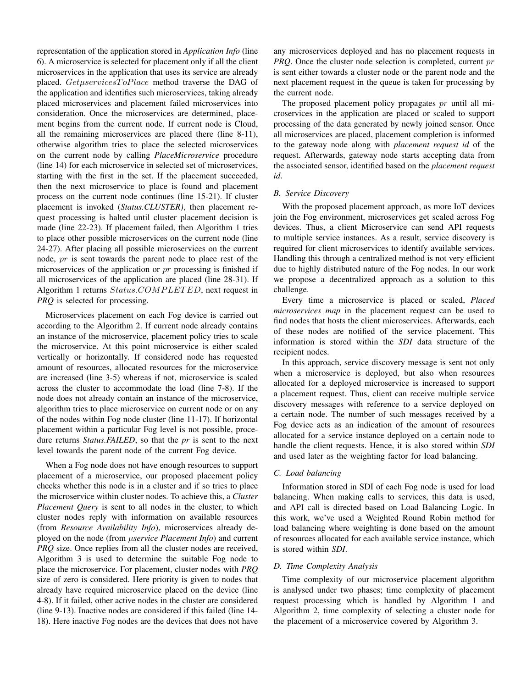representation of the application stored in *Application Info* (line 6). A microservice is selected for placement only if all the client microservices in the application that uses its service are already placed. GetuservicesToPlace method traverse the DAG of the application and identifies such microservices, taking already placed microservices and placement failed microservices into consideration. Once the microservices are determined, placement begins from the current node. If current node is Cloud, all the remaining microservices are placed there (line 8-11), otherwise algorithm tries to place the selected microservices on the current node by calling *PlaceMicroservice* procedure (line 14) for each microservice in selected set of microservices, starting with the first in the set. If the placement succeeded, then the next microservice to place is found and placement process on the current node continues (line 15-21). If cluster placement is invoked (*Status.CLUSTER)*, then placement request processing is halted until cluster placement decision is made (line 22-23). If placement failed, then Algorithm 1 tries to place other possible microservices on the current node (line 24-27). After placing all possible microservices on the current node, pr is sent towards the parent node to place rest of the microservices of the application or  $pr$  processing is finished if all microservices of the application are placed (line 28-31). If Algorithm 1 returns  $Status. COMPLETED$ , next request in *PRQ* is selected for processing.

Microservices placement on each Fog device is carried out according to the Algorithm 2. If current node already contains an instance of the microservice, placement policy tries to scale the microservice. At this point microservice is either scaled vertically or horizontally. If considered node has requested amount of resources, allocated resources for the microservice are increased (line 3-5) whereas if not, microservice is scaled across the cluster to accommodate the load (line 7-8). If the node does not already contain an instance of the microservice, algorithm tries to place microservice on current node or on any of the nodes within Fog node cluster (line 11-17). If horizontal placement within a particular Fog level is not possible, procedure returns *Status.FAILED*, so that the *pr* is sent to the next level towards the parent node of the current Fog device.

When a Fog node does not have enough resources to support placement of a microservice, our proposed placement policy checks whether this node is in a cluster and if so tries to place the microservice within cluster nodes. To achieve this, a *Cluster Placement Query* is sent to all nodes in the cluster, to which cluster nodes reply with information on available resources (from *Resource Availability Info*), microservices already deployed on the node (from µ*service Placement Info*) and current *PRQ* size. Once replies from all the cluster nodes are received, Algorithm 3 is used to determine the suitable Fog node to place the microservice. For placement, cluster nodes with *PRQ* size of zero is considered. Here priority is given to nodes that already have required microservice placed on the device (line 4-8). If it failed, other active nodes in the cluster are considered (line 9-13). Inactive nodes are considered if this failed (line 14- 18). Here inactive Fog nodes are the devices that does not have any microservices deployed and has no placement requests in *PRQ*. Once the cluster node selection is completed, current pr is sent either towards a cluster node or the parent node and the next placement request in the queue is taken for processing by the current node.

The proposed placement policy propagates pr until all microservices in the application are placed or scaled to support processing of the data generated by newly joined sensor. Once all microservices are placed, placement completion is informed to the gateway node along with *placement request id* of the request. Afterwards, gateway node starts accepting data from the associated sensor, identified based on the *placement request id*.

## *B. Service Discovery*

With the proposed placement approach, as more IoT devices join the Fog environment, microservices get scaled across Fog devices. Thus, a client Microservice can send API requests to multiple service instances. As a result, service discovery is required for client microservices to identify available services. Handling this through a centralized method is not very efficient due to highly distributed nature of the Fog nodes. In our work we propose a decentralized approach as a solution to this challenge.

Every time a microservice is placed or scaled, *Placed microservices map* in the placement request can be used to find nodes that hosts the client microservices. Afterwards, each of these nodes are notified of the service placement. This information is stored within the *SDI* data structure of the recipient nodes.

In this approach, service discovery message is sent not only when a microservice is deployed, but also when resources allocated for a deployed microservice is increased to support a placement request. Thus, client can receive multiple service discovery messages with reference to a service deployed on a certain node. The number of such messages received by a Fog device acts as an indication of the amount of resources allocated for a service instance deployed on a certain node to handle the client requests. Hence, it is also stored within *SDI* and used later as the weighting factor for load balancing.

### *C. Load balancing*

Information stored in SDI of each Fog node is used for load balancing. When making calls to services, this data is used, and API call is directed based on Load Balancing Logic. In this work, we've used a Weighted Round Robin method for load balancing where weighting is done based on the amount of resources allocated for each available service instance, which is stored within *SDI*.

#### *D. Time Complexity Analysis*

Time complexity of our microservice placement algorithm is analysed under two phases; time complexity of placement request processing which is handled by Algorithm 1 and Algorithm 2, time complexity of selecting a cluster node for the placement of a microservice covered by Algorithm 3.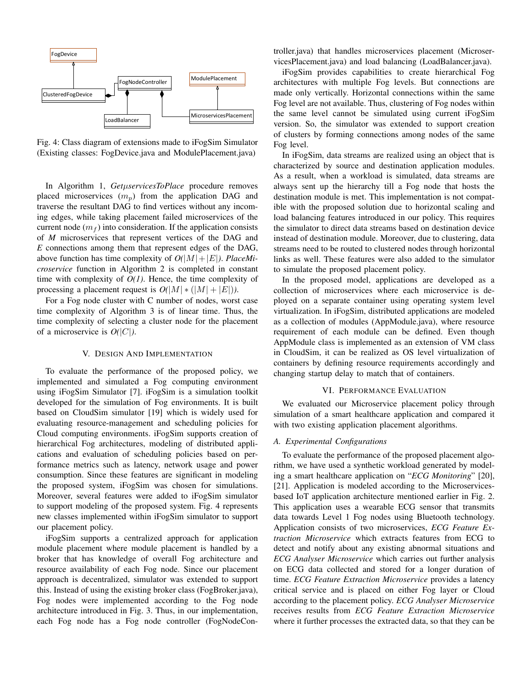

Fig. 4: Class diagram of extensions made to iFogSim Simulator (Existing classes: FogDevice.java and ModulePlacement.java)

In Algorithm 1, *Get*µ*servicesToPlace* procedure removes placed microservices  $(m_n)$  from the application DAG and traverse the resultant DAG to find vertices without any incoming edges, while taking placement failed microservices of the current node  $(m_f)$  into consideration. If the application consists of *M* microservices that represent vertices of the DAG and *E* connections among them that represent edges of the DAG, above function has time complexity of  $O(|M|+|E|)$ . *PlaceMicroservice* function in Algorithm 2 is completed in constant time with complexity of *O(1)*. Hence, the time complexity of processing a placement request is  $O(|M| * (|M| + |E|))$ .

For a Fog node cluster with C number of nodes, worst case time complexity of Algorithm 3 is of linear time. Thus, the time complexity of selecting a cluster node for the placement of a microservice is *O(*|C|*)*.

#### V. DESIGN AND IMPLEMENTATION

To evaluate the performance of the proposed policy, we implemented and simulated a Fog computing environment using iFogSim Simulator [7]. iFogSim is a simulation toolkit developed for the simulation of Fog environments. It is built based on CloudSim simulator [19] which is widely used for evaluating resource-management and scheduling policies for Cloud computing environments. iFogSim supports creation of hierarchical Fog architectures, modeling of distributed applications and evaluation of scheduling policies based on performance metrics such as latency, network usage and power consumption. Since these features are significant in modeling the proposed system, iFogSim was chosen for simulations. Moreover, several features were added to iFogSim simulator to support modeling of the proposed system. Fig. 4 represents new classes implemented within iFogSim simulator to support our placement policy.

iFogSim supports a centralized approach for application module placement where module placement is handled by a broker that has knowledge of overall Fog architecture and resource availability of each Fog node. Since our placement approach is decentralized, simulator was extended to support this. Instead of using the existing broker class (FogBroker.java), Fog nodes were implemented according to the Fog node architecture introduced in Fig. 3. Thus, in our implementation, each Fog node has a Fog node controller (FogNodeController.java) that handles microservices placement (MicroservicesPlacement.java) and load balancing (LoadBalancer.java).

iFogSim provides capabilities to create hierarchical Fog architectures with multiple Fog levels. But connections are made only vertically. Horizontal connections within the same Fog level are not available. Thus, clustering of Fog nodes within the same level cannot be simulated using current iFogSim version. So, the simulator was extended to support creation of clusters by forming connections among nodes of the same Fog level.

In iFogSim, data streams are realized using an object that is characterized by source and destination application modules. As a result, when a workload is simulated, data streams are always sent up the hierarchy till a Fog node that hosts the destination module is met. This implementation is not compatible with the proposed solution due to horizontal scaling and load balancing features introduced in our policy. This requires the simulator to direct data streams based on destination device instead of destination module. Moreover, due to clustering, data streams need to be routed to clustered nodes through horizontal links as well. These features were also added to the simulator to simulate the proposed placement policy.

In the proposed model, applications are developed as a collection of microservices where each microservice is deployed on a separate container using operating system level virtualization. In iFogSim, distributed applications are modeled as a collection of modules (AppModule.java), where resource requirement of each module can be defined. Even though AppModule class is implemented as an extension of VM class in CloudSim, it can be realized as OS level virtualization of containers by defining resource requirements accordingly and changing startup delay to match that of containers.

## VI. PERFORMANCE EVALUATION

We evaluated our Microservice placement policy through simulation of a smart healthcare application and compared it with two existing application placement algorithms.

### *A. Experimental Configurations*

To evaluate the performance of the proposed placement algorithm, we have used a synthetic workload generated by modeling a smart healthcare application on "*ECG Monitoring*" [20], [21]. Application is modeled according to the Microservicesbased IoT application architecture mentioned earlier in Fig. 2. This application uses a wearable ECG sensor that transmits data towards Level 1 Fog nodes using Bluetooth technology. Application consists of two microservices, *ECG Feature Extraction Microservice* which extracts features from ECG to detect and notify about any existing abnormal situations and *ECG Analyser Microservice* which carries out further analysis on ECG data collected and stored for a longer duration of time. *ECG Feature Extraction Microservice* provides a latency critical service and is placed on either Fog layer or Cloud according to the placement policy. *ECG Analyser Microservice* receives results from *ECG Feature Extraction Microservice* where it further processes the extracted data, so that they can be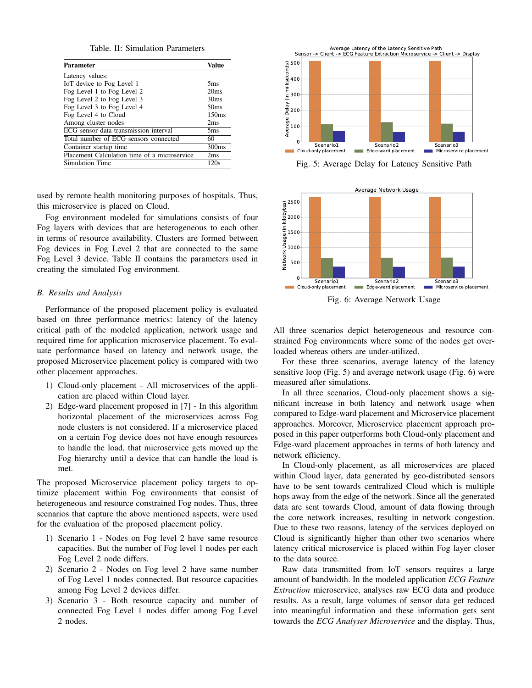Table. II: Simulation Parameters

| Parameter                                    | Value             |
|----------------------------------------------|-------------------|
| Latency values:                              |                   |
| IoT device to Fog Level 1                    | 5ms               |
| Fog Level 1 to Fog Level 2                   | 20ms              |
| Fog Level 2 to Fog Level 3                   | 30 <sub>ms</sub>  |
| Fog Level 3 to Fog Level 4                   | 50 <sub>ms</sub>  |
| Fog Level 4 to Cloud                         | 150ms             |
| Among cluster nodes                          | 2ms               |
| ECG sensor data transmission interval        | 5 <sub>ms</sub>   |
| Total number of ECG sensors connected        | 60                |
| Container startup time                       | 300 <sub>ms</sub> |
| Placement Calculation time of a microservice | 2ms               |
| Simulation Time                              | 120s              |

used by remote health monitoring purposes of hospitals. Thus, this microservice is placed on Cloud.

Fog environment modeled for simulations consists of four Fog layers with devices that are heterogeneous to each other in terms of resource availability. Clusters are formed between Fog devices in Fog Level 2 that are connected to the same Fog Level 3 device. Table II contains the parameters used in creating the simulated Fog environment.

## *B. Results and Analysis*

Performance of the proposed placement policy is evaluated based on three performance metrics: latency of the latency critical path of the modeled application, network usage and required time for application microservice placement. To evaluate performance based on latency and network usage, the proposed Microservice placement policy is compared with two other placement approaches.

- 1) Cloud-only placement All microservices of the application are placed within Cloud layer.
- 2) Edge-ward placement proposed in [7] In this algorithm horizontal placement of the microservices across Fog node clusters is not considered. If a microservice placed on a certain Fog device does not have enough resources to handle the load, that microservice gets moved up the Fog hierarchy until a device that can handle the load is met.

The proposed Microservice placement policy targets to optimize placement within Fog environments that consist of heterogeneous and resource constrained Fog nodes. Thus, three scenarios that capture the above mentioned aspects, were used for the evaluation of the proposed placement policy.

- 1) Scenario 1 Nodes on Fog level 2 have same resource capacities. But the number of Fog level 1 nodes per each Fog Level 2 node differs.
- 2) Scenario 2 Nodes on Fog level 2 have same number of Fog Level 1 nodes connected. But resource capacities among Fog Level 2 devices differ.
- 3) Scenario 3 Both resource capacity and number of connected Fog Level 1 nodes differ among Fog Level 2 nodes.



Fig. 5: Average Delay for Latency Sensitive Path



Fig. 6: Average Network Usage

All three scenarios depict heterogeneous and resource constrained Fog environments where some of the nodes get overloaded whereas others are under-utilized.

For these three scenarios, average latency of the latency sensitive loop (Fig. 5) and average network usage (Fig. 6) were measured after simulations.

In all three scenarios, Cloud-only placement shows a significant increase in both latency and network usage when compared to Edge-ward placement and Microservice placement approaches. Moreover, Microservice placement approach proposed in this paper outperforms both Cloud-only placement and Edge-ward placement approaches in terms of both latency and network efficiency.

In Cloud-only placement, as all microservices are placed within Cloud layer, data generated by geo-distributed sensors have to be sent towards centralized Cloud which is multiple hops away from the edge of the network. Since all the generated data are sent towards Cloud, amount of data flowing through the core network increases, resulting in network congestion. Due to these two reasons, latency of the services deployed on Cloud is significantly higher than other two scenarios where latency critical microservice is placed within Fog layer closer to the data source.

Raw data transmitted from IoT sensors requires a large amount of bandwidth. In the modeled application *ECG Feature Extraction* microservice, analyses raw ECG data and produce results. As a result, large volumes of sensor data get reduced into meaningful information and these information gets sent towards the *ECG Analyser Microservice* and the display. Thus,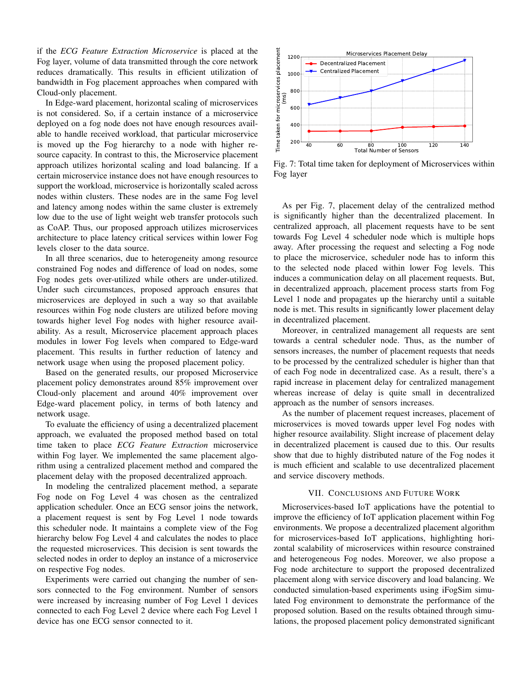if the *ECG Feature Extraction Microservice* is placed at the Fog layer, volume of data transmitted through the core network reduces dramatically. This results in efficient utilization of bandwidth in Fog placement approaches when compared with Cloud-only placement.

In Edge-ward placement, horizontal scaling of microservices is not considered. So, if a certain instance of a microservice deployed on a fog node does not have enough resources available to handle received workload, that particular microservice is moved up the Fog hierarchy to a node with higher resource capacity. In contrast to this, the Microservice placement approach utilizes horizontal scaling and load balancing. If a certain microservice instance does not have enough resources to support the workload, microservice is horizontally scaled across nodes within clusters. These nodes are in the same Fog level and latency among nodes within the same cluster is extremely low due to the use of light weight web transfer protocols such as CoAP. Thus, our proposed approach utilizes microservices architecture to place latency critical services within lower Fog levels closer to the data source.

In all three scenarios, due to heterogeneity among resource constrained Fog nodes and difference of load on nodes, some Fog nodes gets over-utilized while others are under-utilized. Under such circumstances, proposed approach ensures that microservices are deployed in such a way so that available resources within Fog node clusters are utilized before moving towards higher level Fog nodes with higher resource availability. As a result, Microservice placement approach places modules in lower Fog levels when compared to Edge-ward placement. This results in further reduction of latency and network usage when using the proposed placement policy.

Based on the generated results, our proposed Microservice placement policy demonstrates around 85% improvement over Cloud-only placement and around 40% improvement over Edge-ward placement policy, in terms of both latency and network usage.

To evaluate the efficiency of using a decentralized placement approach, we evaluated the proposed method based on total time taken to place *ECG Feature Extraction* microservice within Fog layer. We implemented the same placement algorithm using a centralized placement method and compared the placement delay with the proposed decentralized approach.

In modeling the centralized placement method, a separate Fog node on Fog Level 4 was chosen as the centralized application scheduler. Once an ECG sensor joins the network, a placement request is sent by Fog Level 1 node towards this scheduler node. It maintains a complete view of the Fog hierarchy below Fog Level 4 and calculates the nodes to place the requested microservices. This decision is sent towards the selected nodes in order to deploy an instance of a microservice on respective Fog nodes.

Experiments were carried out changing the number of sensors connected to the Fog environment. Number of sensors were increased by increasing number of Fog Level 1 devices connected to each Fog Level 2 device where each Fog Level 1 device has one ECG sensor connected to it.



Fig. 7: Total time taken for deployment of Microservices within Fog layer

As per Fig. 7, placement delay of the centralized method is significantly higher than the decentralized placement. In centralized approach, all placement requests have to be sent towards Fog Level 4 scheduler node which is multiple hops away. After processing the request and selecting a Fog node to place the microservice, scheduler node has to inform this to the selected node placed within lower Fog levels. This induces a communication delay on all placement requests. But, in decentralized approach, placement process starts from Fog Level 1 node and propagates up the hierarchy until a suitable node is met. This results in significantly lower placement delay in decentralized placement.

Moreover, in centralized management all requests are sent towards a central scheduler node. Thus, as the number of sensors increases, the number of placement requests that needs to be processed by the centralized scheduler is higher than that of each Fog node in decentralized case. As a result, there's a rapid increase in placement delay for centralized management whereas increase of delay is quite small in decentralized approach as the number of sensors increases.

As the number of placement request increases, placement of microservices is moved towards upper level Fog nodes with higher resource availability. Slight increase of placement delay in decentralized placement is caused due to this. Our results show that due to highly distributed nature of the Fog nodes it is much efficient and scalable to use decentralized placement and service discovery methods.

## VII. CONCLUSIONS AND FUTURE WORK

Microservices-based IoT applications have the potential to improve the efficiency of IoT application placement within Fog environments. We propose a decentralized placement algorithm for microservices-based IoT applications, highlighting horizontal scalability of microservices within resource constrained and heterogeneous Fog nodes. Moreover, we also propose a Fog node architecture to support the proposed decentralized placement along with service discovery and load balancing. We conducted simulation-based experiments using iFogSim simulated Fog environment to demonstrate the performance of the proposed solution. Based on the results obtained through simulations, the proposed placement policy demonstrated significant